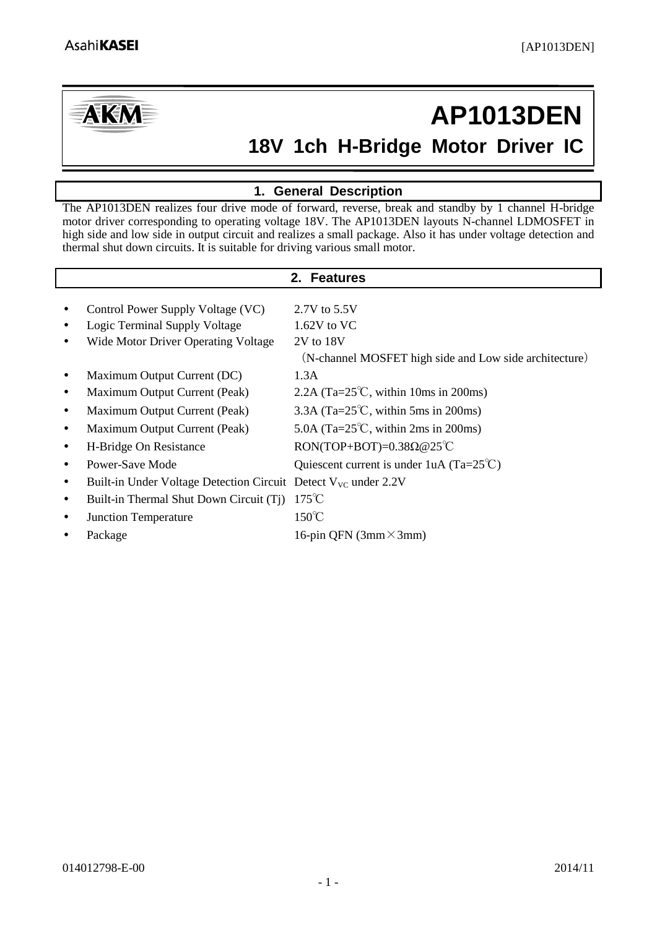

# **18V 1ch H-Bridge Motor Driver IC AP1013DEN**

# **1. General Description**

<span id="page-0-0"></span>The AP1013DEN realizes four drive mode of forward, reverse, break and standby by 1 channel H-bridge motor driver corresponding to operating voltage 18V. The AP1013DEN layouts N-channel LDMOSFET in high side and low side in output circuit and realizes a small package. Also it has under voltage detection and thermal shut down circuits. It is suitable for driving various small motor.

<span id="page-0-1"></span>

| 2. Features                                                                |                                                        |  |  |  |  |  |
|----------------------------------------------------------------------------|--------------------------------------------------------|--|--|--|--|--|
|                                                                            |                                                        |  |  |  |  |  |
| Control Power Supply Voltage (VC)                                          | 2.7V to 5.5V                                           |  |  |  |  |  |
| Logic Terminal Supply Voltage                                              | $1.62V$ to VC                                          |  |  |  |  |  |
| Wide Motor Driver Operating Voltage                                        | 2V to 18V                                              |  |  |  |  |  |
|                                                                            | (N-channel MOSFET high side and Low side architecture) |  |  |  |  |  |
| Maximum Output Current (DC)                                                | 1.3A                                                   |  |  |  |  |  |
| Maximum Output Current (Peak)                                              | 2.2A (Ta= $25^{\circ}$ C, within 10ms in 200ms)        |  |  |  |  |  |
| Maximum Output Current (Peak)                                              | 3.3A (Ta= $25^{\circ}$ C, within 5ms in 200ms)         |  |  |  |  |  |
| Maximum Output Current (Peak)                                              | 5.0A (Ta= $25^{\circ}$ C, within 2ms in 200ms)         |  |  |  |  |  |
| H-Bridge On Resistance                                                     | RON(TOP+BOT)= $0.38\Omega@25^{\circ}\text{C}$          |  |  |  |  |  |
| Power-Save Mode                                                            | Quiescent current is under 1uA (Ta= $25^{\circ}$ C)    |  |  |  |  |  |
| Built-in Under Voltage Detection Circuit Detect $V_{\text{VC}}$ under 2.2V |                                                        |  |  |  |  |  |
| Built-in Thermal Shut Down Circuit (Tj)                                    | $175^{\circ}$ C                                        |  |  |  |  |  |
| <b>Junction Temperature</b>                                                | $150^{\circ}$ C                                        |  |  |  |  |  |
| Package                                                                    | 16-pin QFN (3mm $\times$ 3mm)                          |  |  |  |  |  |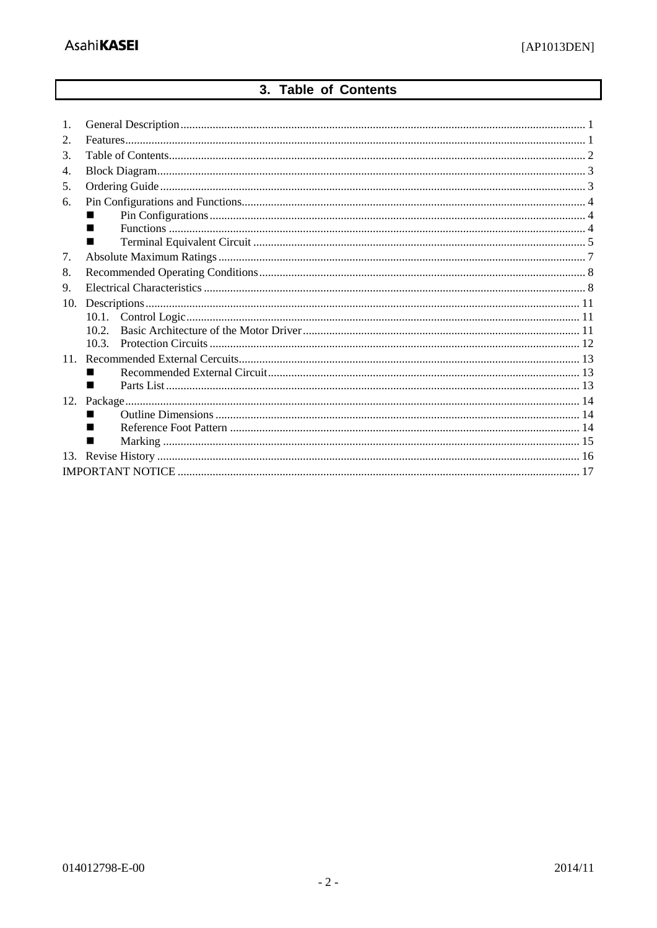# 3. Table of Contents

<span id="page-1-0"></span>

| 1.    |
|-------|
| 2.    |
| 3.    |
| 4.    |
| 5.    |
| 6.    |
|       |
|       |
|       |
| 7.    |
| 8.    |
| 9.    |
| 10.   |
|       |
| 10.2. |
| 103   |
| 11.   |
|       |
| ٠     |
| 12.   |
| ▄     |
|       |
|       |
|       |
|       |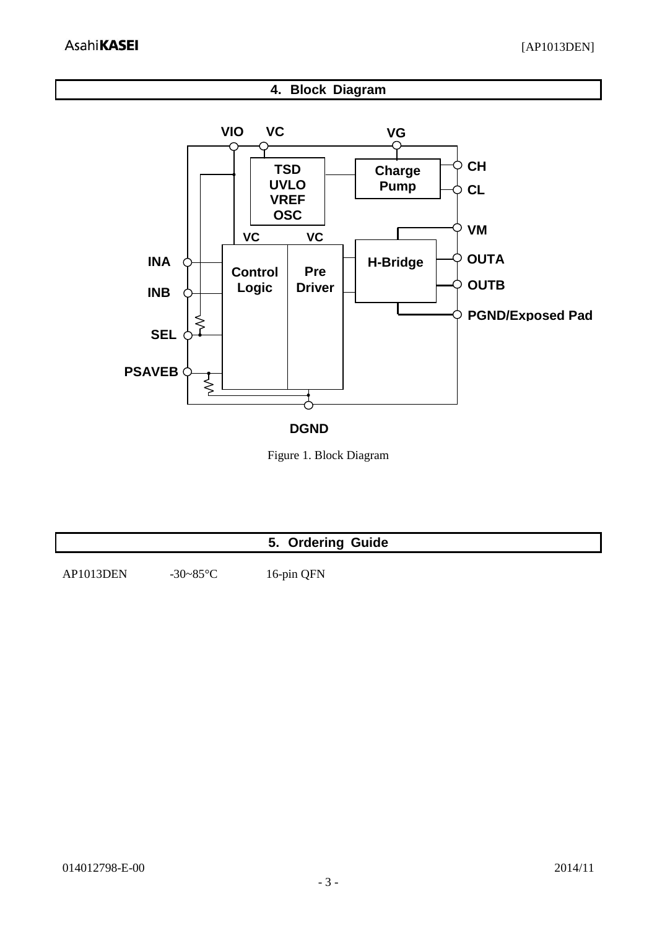**4. Block Diagram**

<span id="page-2-0"></span>

**DGND**

Figure 1. Block Diagram

<span id="page-2-1"></span>

|           |               | 5. Ordering Guide |  |
|-----------|---------------|-------------------|--|
| AP1013DEN | $-30 - 85$ °C | 16-pin QFN        |  |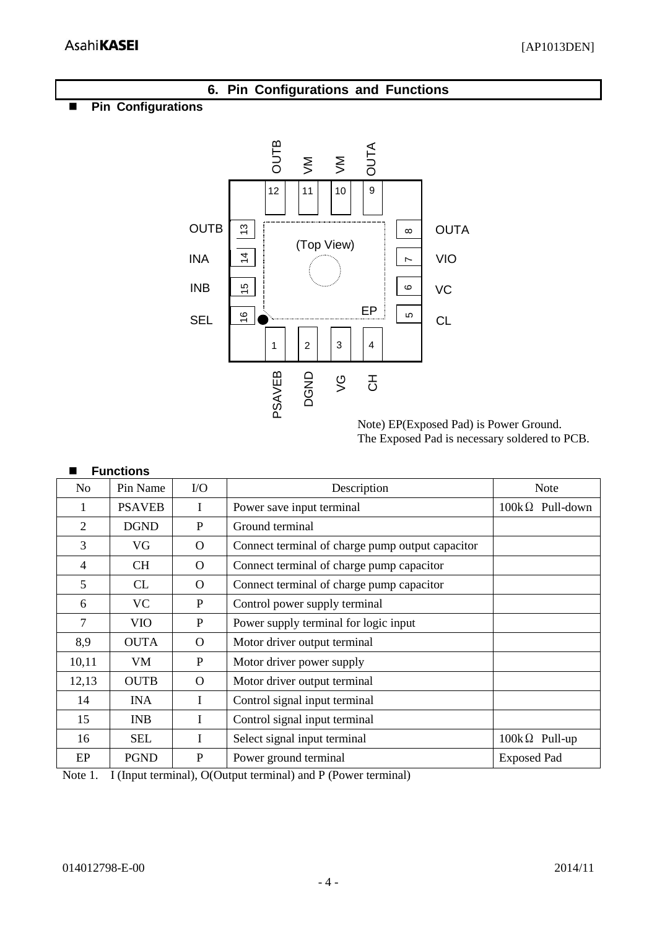<span id="page-3-1"></span><span id="page-3-0"></span>

<span id="page-3-2"></span>

| 19 U           | т ні тчаніс   | v v      | DUSCHIPHON                                       | THUID                  |  |
|----------------|---------------|----------|--------------------------------------------------|------------------------|--|
|                | <b>PSAVEB</b> | I        | Power save input terminal                        | $100k\Omega$ Pull-down |  |
| 2              | <b>DGND</b>   | P        | Ground terminal                                  |                        |  |
| 3              | VG            | $\Omega$ | Connect terminal of charge pump output capacitor |                        |  |
| $\overline{4}$ | CH.           | $\Omega$ | Connect terminal of charge pump capacitor        |                        |  |
| 5              | CL            | O        | Connect terminal of charge pump capacitor        |                        |  |
| 6              | VC            | P        | Control power supply terminal                    |                        |  |
| $\tau$         | <b>VIO</b>    | P        | Power supply terminal for logic input            |                        |  |
| 8,9            | <b>OUTA</b>   | $\Omega$ | Motor driver output terminal                     |                        |  |
| 10,11          | VM            | P        | Motor driver power supply                        |                        |  |
| 12,13          | <b>OUTB</b>   | $\Omega$ | Motor driver output terminal                     |                        |  |
| 14             | <b>INA</b>    | I        | Control signal input terminal                    |                        |  |
| 15             | <b>INB</b>    | I        | Control signal input terminal                    |                        |  |
| 16             | <b>SEL</b>    |          | Select signal input terminal                     | $100k\Omega$ Pull-up   |  |
| EP             | <b>PGND</b>   | P        | Power ground terminal                            | <b>Exposed Pad</b>     |  |

Note 1. I (Input terminal), O(Output terminal) and P (Power terminal)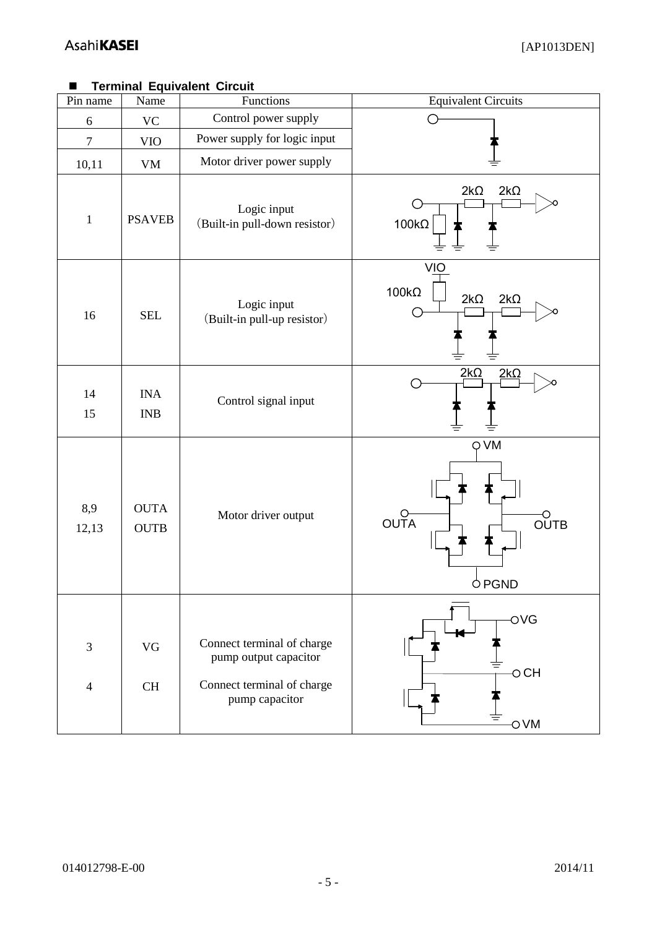# <span id="page-4-0"></span>**Terminal Equivalent Circuit**

| Pin name            | Name                       | Functions                                                                                           | <b>Equivalent Circuits</b>                                    |
|---------------------|----------------------------|-----------------------------------------------------------------------------------------------------|---------------------------------------------------------------|
| $\boldsymbol{6}$    | <b>VC</b>                  | Control power supply                                                                                |                                                               |
| $\tau$              | <b>VIO</b>                 | Power supply for logic input                                                                        |                                                               |
| 10,11               | VM                         | Motor driver power supply                                                                           |                                                               |
| $\,1\,$             | <b>PSAVEB</b>              | Logic input<br>(Built-in pull-down resistor)                                                        | $2k\Omega$<br>$2k\Omega$<br>$100k\Omega$                      |
| 16                  | <b>SEL</b>                 | Logic input<br>(Built-in pull-up resistor)                                                          | <b>VIO</b><br>$100k\Omega$<br>$2k\Omega$<br>$2k\Omega$        |
| 14<br>15            | <b>INA</b><br>INB          | Control signal input                                                                                | $2k\Omega$<br>$2k\Omega$                                      |
| 8,9<br>12,13        | <b>OUTA</b><br><b>OUTB</b> | Motor driver output                                                                                 | Q VM<br>$\overline{O}$ UTA<br><b>OUTB</b><br><b>PGND</b><br>С |
| 3<br>$\overline{4}$ | VG<br>$\rm CH$             | Connect terminal of charge<br>pump output capacitor<br>Connect terminal of charge<br>pump capacitor | OVG<br>$\circ$ CH<br>$\overline{O}$ VM                        |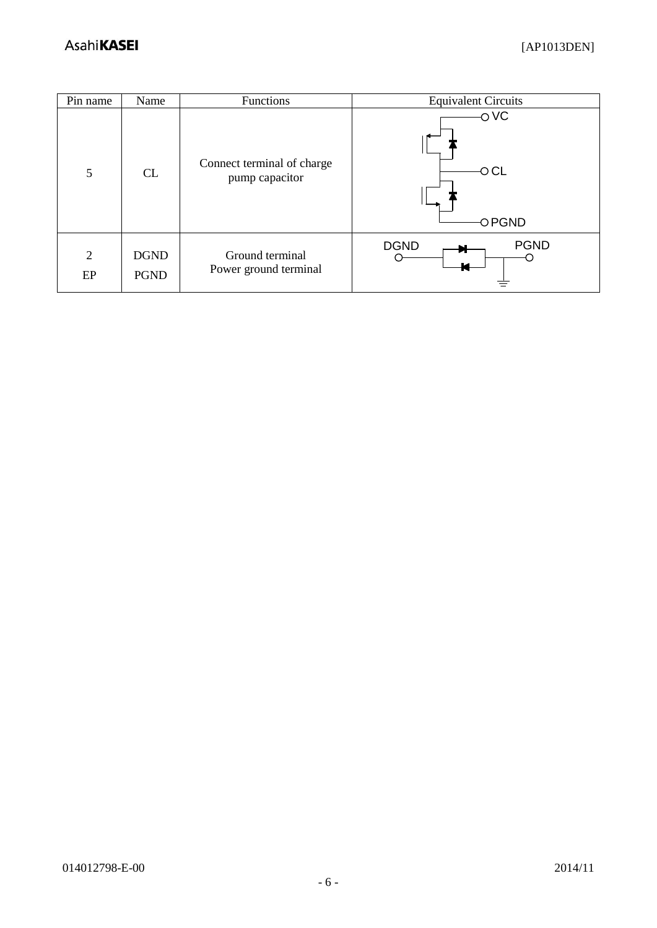| Pin name             | Name                       | Functions                                    | <b>Equivalent Circuits</b> |
|----------------------|----------------------------|----------------------------------------------|----------------------------|
| 5                    | CL                         | Connect terminal of charge<br>pump capacitor | OVC<br>$\circ$ CL<br>OPGND |
| $\overline{2}$<br>EP | <b>DGND</b><br><b>PGND</b> | Ground terminal<br>Power ground terminal     | <b>DGND</b><br><b>PGND</b> |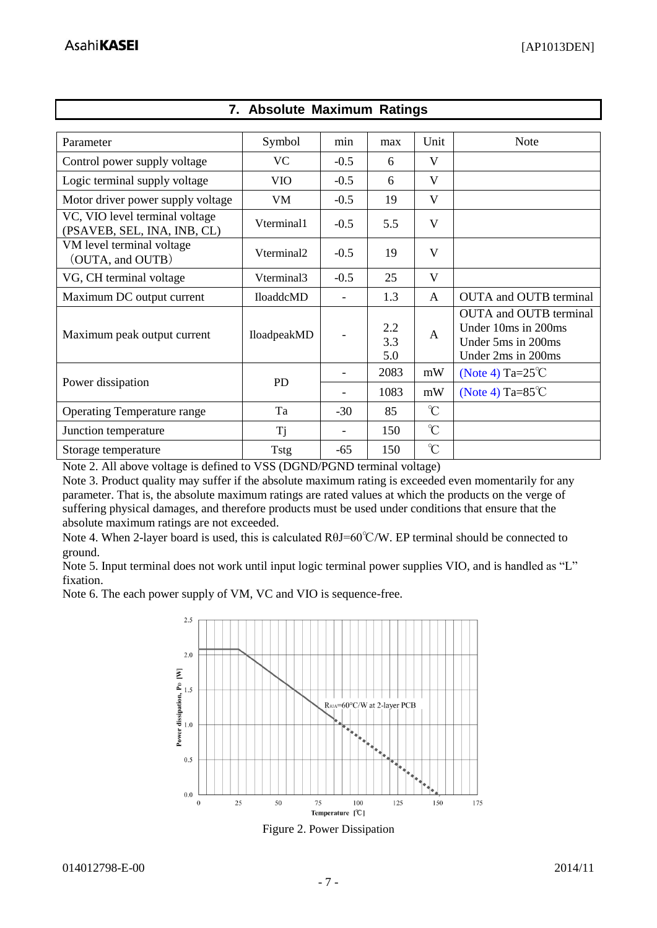<span id="page-6-0"></span>

| Parameter                                                     | Symbol      | min    | max               | Unit          | <b>Note</b>                                                                                             |
|---------------------------------------------------------------|-------------|--------|-------------------|---------------|---------------------------------------------------------------------------------------------------------|
| Control power supply voltage                                  | <b>VC</b>   | $-0.5$ | 6                 | V             |                                                                                                         |
| Logic terminal supply voltage                                 | <b>VIO</b>  | $-0.5$ | 6                 | V             |                                                                                                         |
| Motor driver power supply voltage                             | VM          | $-0.5$ | 19                | V             |                                                                                                         |
| VC, VIO level terminal voltage<br>(PSAVEB, SEL, INA, INB, CL) | Vterminal1  | $-0.5$ | 5.5               | V             |                                                                                                         |
| VM level terminal voltage<br>(OUTA, and OUTB)                 | Vterminal2  | $-0.5$ | 19                | V             |                                                                                                         |
| VG, CH terminal voltage                                       | Vterminal3  | $-0.5$ | 25                | V             |                                                                                                         |
| Maximum DC output current                                     | IloaddcMD   |        | 1.3               | A             | <b>OUTA</b> and <b>OUTB</b> terminal                                                                    |
| Maximum peak output current                                   | IloadpeakMD |        | 2.2<br>3.3<br>5.0 | A             | <b>OUTA</b> and <b>OUTB</b> terminal<br>Under 10ms in 200ms<br>Under 5ms in 200ms<br>Under 2ms in 200ms |
|                                                               |             |        | 2083              | mW            | (Note 4) Ta= $25^{\circ}$ C                                                                             |
| Power dissipation                                             | <b>PD</b>   |        | 1083              | mW            | (Note 4) Ta= $85^{\circ}$ C                                                                             |
| <b>Operating Temperature range</b>                            | Ta          | $-30$  | 85                | $\mathcal{C}$ |                                                                                                         |
| Junction temperature                                          | <b>Tj</b>   |        | 150               | $\mathrm{C}$  |                                                                                                         |
| Storage temperature                                           | <b>Tstg</b> | $-65$  | 150               | $\mathrm{C}$  |                                                                                                         |

# **7. Absolute Maximum Ratings**

Note 2. All above voltage is defined to VSS (DGND/PGND terminal voltage)

Note 3. Product quality may suffer if the absolute maximum rating is exceeded even momentarily for any parameter. That is, the absolute maximum ratings are rated values at which the products on the verge of suffering physical damages, and therefore products must be used under conditions that ensure that the absolute maximum ratings are not exceeded.

<span id="page-6-1"></span>Note 4. When 2-layer board is used, this is calculated RθJ=60℃/W. EP terminal should be connected to ground.

Note 5. Input terminal does not work until input logic terminal power supplies VIO, and is handled as "L" fixation.

Note 6. The each power supply of VM, VC and VIO is sequence-free.



Figure 2. Power Dissipation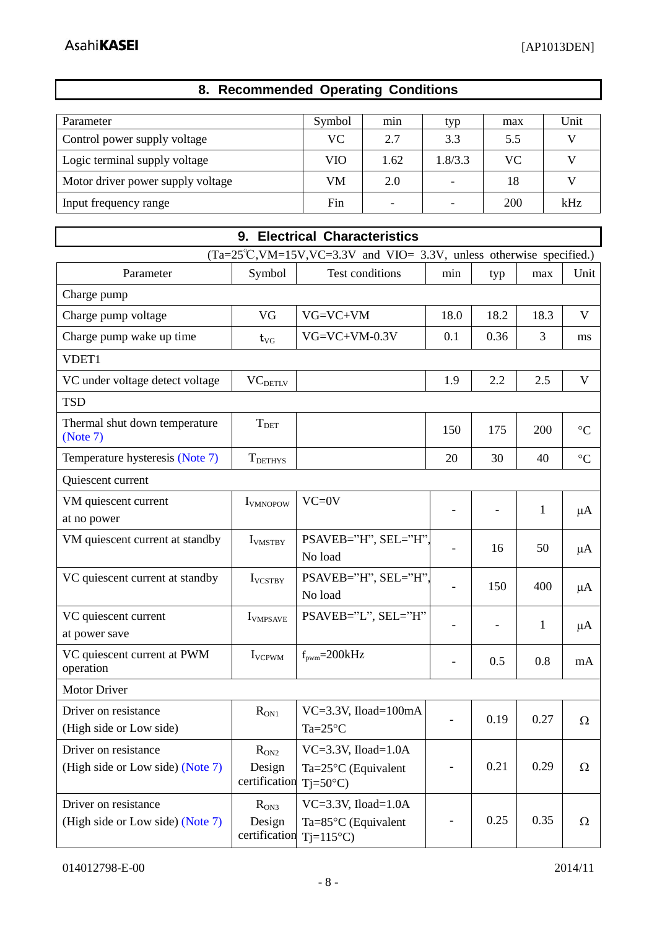$\mathbf{r}$ 

# **8. Recommended Operating Conditions**

<span id="page-7-0"></span>

| Parameter                         | Symbol | min  | typ                      | max       | Unit |
|-----------------------------------|--------|------|--------------------------|-----------|------|
| Control power supply voltage      | VС     | 2.7  | 3.3                      | 5.5       |      |
| Logic terminal supply voltage     | VIO    | 1.62 | 1.8/3.3                  | <b>VC</b> |      |
| Motor driver power supply voltage | VM     | 2.0  | $\overline{\phantom{a}}$ | 18        |      |
| Input frequency range             | Fin    |      | -                        | 200       | kHz  |

<span id="page-7-1"></span>

| 9. Electrical Characteristics                                                     |                                      |                                                                              |      |                          |              |                 |  |  |
|-----------------------------------------------------------------------------------|--------------------------------------|------------------------------------------------------------------------------|------|--------------------------|--------------|-----------------|--|--|
| $(Ta=25^{\circ}C, VM=15V, VC=3.3V)$ and $VIO=3.3V$ , unless otherwise specified.) |                                      |                                                                              |      |                          |              |                 |  |  |
| Parameter                                                                         | Symbol                               | <b>Test conditions</b>                                                       | min  | typ                      | max          | Unit            |  |  |
| Charge pump                                                                       |                                      |                                                                              |      |                          |              |                 |  |  |
| Charge pump voltage                                                               | VG                                   | $VG=VC+VM$                                                                   | 18.0 | 18.2                     | 18.3         | V               |  |  |
| Charge pump wake up time                                                          | $t_{\rm VG}$                         | $VG=VC+VM-0.3V$                                                              | 0.1  | 0.36                     | 3            | ms              |  |  |
| VDET1                                                                             |                                      |                                                                              |      |                          |              |                 |  |  |
| VC under voltage detect voltage                                                   | VC <sub>DETLV</sub>                  |                                                                              | 1.9  | 2.2                      | 2.5          | V               |  |  |
| <b>TSD</b>                                                                        |                                      |                                                                              |      |                          |              |                 |  |  |
| Thermal shut down temperature<br>(Note 7)                                         | $T_{\rm DET}$                        |                                                                              | 150  | 175                      | 200          | $\rm ^{\circ}C$ |  |  |
| Temperature hysteresis (Note 7)                                                   | T <sub>DETHYS</sub>                  |                                                                              | 20   | 30                       | 40           | $\rm ^{\circ}C$ |  |  |
| Quiescent current                                                                 |                                      |                                                                              |      |                          |              |                 |  |  |
| VM quiescent current<br>at no power                                               | <b>I</b> VMNOPOW                     | $VC=0V$                                                                      |      |                          | $\mathbf{1}$ | $\mu A$         |  |  |
| VM quiescent current at standby                                                   | <b>I</b> VMSTBY                      | PSAVEB="H", SEL="H".<br>No load                                              |      | 16                       | 50           | $\mu A$         |  |  |
| VC quiescent current at standby                                                   | <b>I</b> VCSTBY                      | PSAVEB="H", SEL="H".<br>No load                                              |      | 150                      | 400          | $\mu A$         |  |  |
| VC quiescent current<br>at power save                                             | <b>I</b> VMPSAVE                     | PSAVEB="L", SEL="H"                                                          |      | $\overline{\phantom{0}}$ | 1            | $\mu A$         |  |  |
| VC quiescent current at PWM<br>operation                                          | <b>I</b> VCPWM                       | $f_{\text{pwm}} = 200kHz$                                                    | ٠    | 0.5                      | 0.8          | mA              |  |  |
| Motor Driver                                                                      |                                      |                                                                              |      |                          |              |                 |  |  |
| Driver on resistance<br>(High side or Low side)                                   | $R_{ON1}$                            | $VC=3.3V$ , Iload=100mA<br>Ta= $25^{\circ}$ C                                |      | 0.19                     | 0.27         | $\Omega$        |  |  |
| Driver on resistance<br>(High side or Low side) (Note 7)                          | $R_{ON2}$<br>Design<br>certification | $VC=3.3V$ , Iload=1.0A<br>Ta= $25^{\circ}$ C (Equivalent<br>$Tj=50^{\circ}C$ |      | 0.21                     | 0.29         | $\Omega$        |  |  |
| Driver on resistance<br>(High side or Low side) (Note 7)                          | $R_{ON3}$<br>Design<br>certification | $VC=3.3V$ , Iload=1.0A<br>$Ta=85^{\circ}C$ (Equivalent<br>$Tj=115^{\circ}C$  |      | 0.25                     | 0.35         | $\Omega$        |  |  |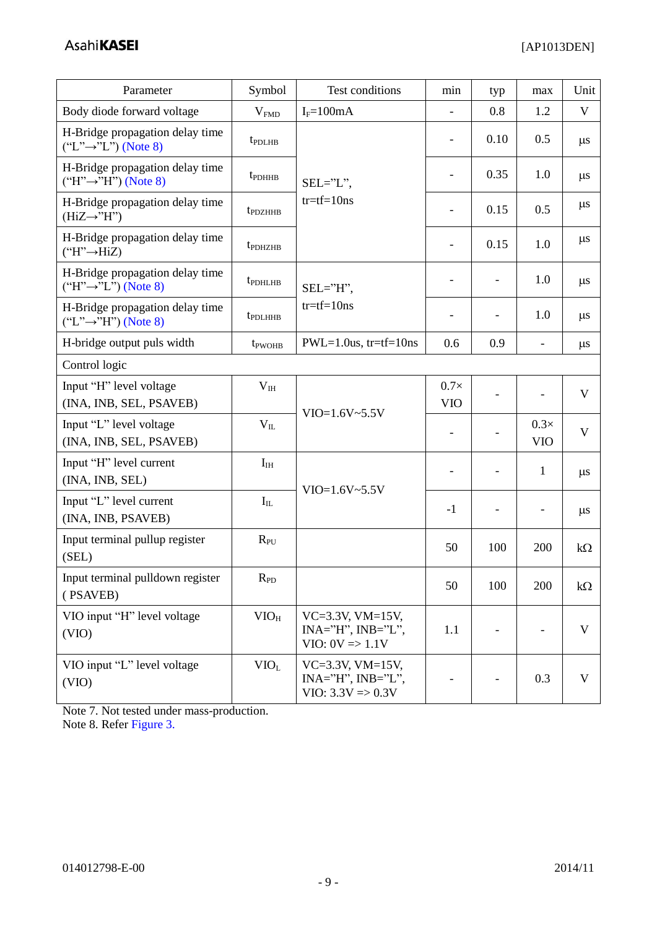| Parameter                                                                                 | Symbol                         | Test conditions                                                               | min                          | typ                      | max                       | Unit         |
|-------------------------------------------------------------------------------------------|--------------------------------|-------------------------------------------------------------------------------|------------------------------|--------------------------|---------------------------|--------------|
| Body diode forward voltage                                                                | V <sub>FMD</sub>               | $I_F = 100mA$                                                                 | $\overline{\phantom{a}}$     | 0.8                      | 1.2                       | V            |
| H-Bridge propagation delay time<br>t <sub>PDLHB</sub><br>$("L" \rightarrow "L")$ (Note 8) |                                |                                                                               | $\blacksquare$               | 0.10                     | 0.5                       | $\mu$ s      |
| H-Bridge propagation delay time<br>$("H" \rightarrow "H")$ (Note 8)                       | t <sub>pDHHB</sub><br>SEL="L", |                                                                               | $\overline{\phantom{a}}$     | 0.35                     | 1.0                       | $\mu$ s      |
| H-Bridge propagation delay time<br>$(HiZ \rightarrow "H")$                                | t <sub>PDZHHB</sub>            | $tr = tf = 10$ ns                                                             | $\overline{\phantom{a}}$     | 0.15                     | 0.5                       | $\mu s$      |
| H-Bridge propagation delay time<br>$("H" \rightarrow HiZ)$                                | t <sub>pDHZHB</sub>            |                                                                               | $\qquad \qquad \blacksquare$ | 0.15                     | 1.0                       | $\mu$ s      |
| H-Bridge propagation delay time<br>$("H" \rightarrow "L")$ (Note 8)                       | t <sub>PDHLHB</sub>            | $SEL="H",$                                                                    | $\overline{\phantom{a}}$     | $\overline{\phantom{a}}$ | 1.0                       | $\mu s$      |
| H-Bridge propagation delay time<br>$("L" \rightarrow "H")$ (Note 8)                       | t <sub>PDLHHB</sub>            | $tr = tf = 10ns$                                                              |                              | $\qquad \qquad -$        | 1.0                       | $\mu$ s      |
| H-bridge output puls width                                                                | t <sub>pwOHB</sub>             | $PWL=1.0us$ , tr=tf=10ns                                                      | 0.6                          | 0.9                      | $\overline{\phantom{a}}$  | $\mu s$      |
| Control logic                                                                             |                                |                                                                               |                              |                          |                           |              |
| Input "H" level voltage<br>(INA, INB, SEL, PSAVEB)                                        | V <sub>IH</sub>                |                                                                               | $0.7\times$<br><b>VIO</b>    |                          | $\overline{\phantom{a}}$  | V            |
| Input "L" level voltage<br>(INA, INB, SEL, PSAVEB)                                        | $V_{IL}$                       | $VIO=1.6V~5.5V$                                                               | $\overline{\phantom{a}}$     |                          | $0.3\times$<br><b>VIO</b> | V            |
| Input "H" level current<br>(INA, INB, SEL)                                                | $I_{IH}$                       |                                                                               | $\overline{\phantom{a}}$     | $\overline{\phantom{a}}$ | 1                         | $\mu s$      |
| Input "L" level current<br>(INA, INB, PSAVEB)                                             | $I_{IL}$                       | $VIO=1.6V~5.5V$                                                               | $-1$                         | $\overline{\phantom{a}}$ |                           | $\mu$ s      |
| Input terminal pullup register<br>(SEL)                                                   | $R_{PU}$                       |                                                                               | 50                           | 100                      | 200                       | $k\Omega$    |
| Input terminal pulldown register<br>(PSAVEB)                                              | $R_{PD}$                       |                                                                               | 50                           | 100                      | 200                       | $k\Omega$    |
| VIO input "H" level voltage<br>(VIO)                                                      | $VIO_H$                        | $VC=3.3V$ , $VM=15V$ ,<br>$INA="H", INB="L",$<br>$VIO: 0V \Rightarrow 1.1V$   | 1.1                          |                          |                           | V            |
| VIO input "L" level voltage<br>(VIO)                                                      | VIO <sub>L</sub>               | $VC=3.3V$ , $VM=15V$ ,<br>$INA="H", INB="L",$<br>$VIO: 3.3V \Rightarrow 0.3V$ |                              |                          | 0.3                       | $\mathbf{V}$ |

<span id="page-8-1"></span><span id="page-8-0"></span>Note 7. Not tested under mass-production. Note 8. Refer [Figure 3.](#page-9-0)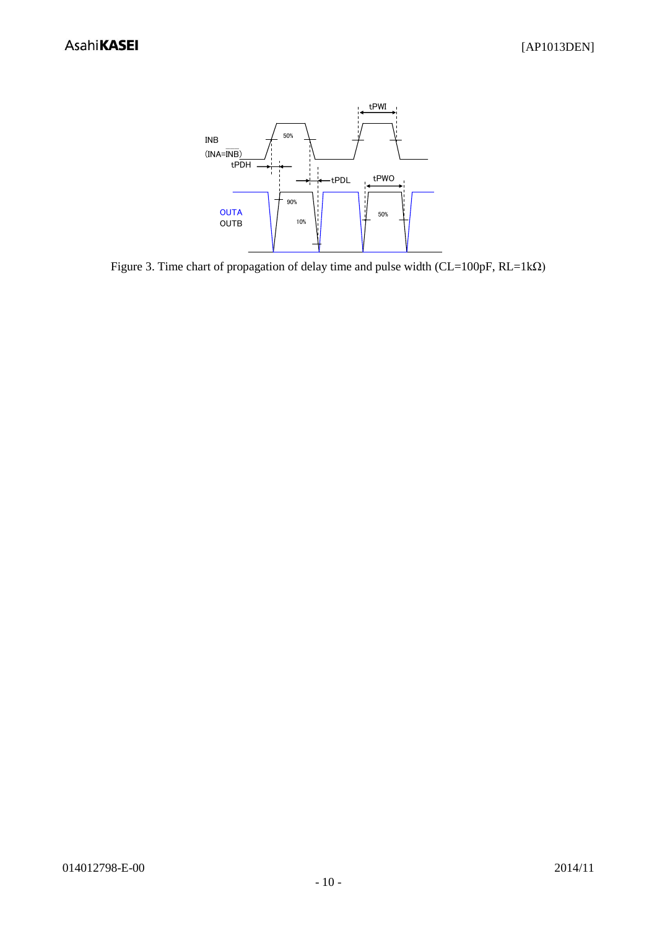

<span id="page-9-0"></span>Figure 3. Time chart of propagation of delay time and pulse width (CL=100pF, RL=1kΩ)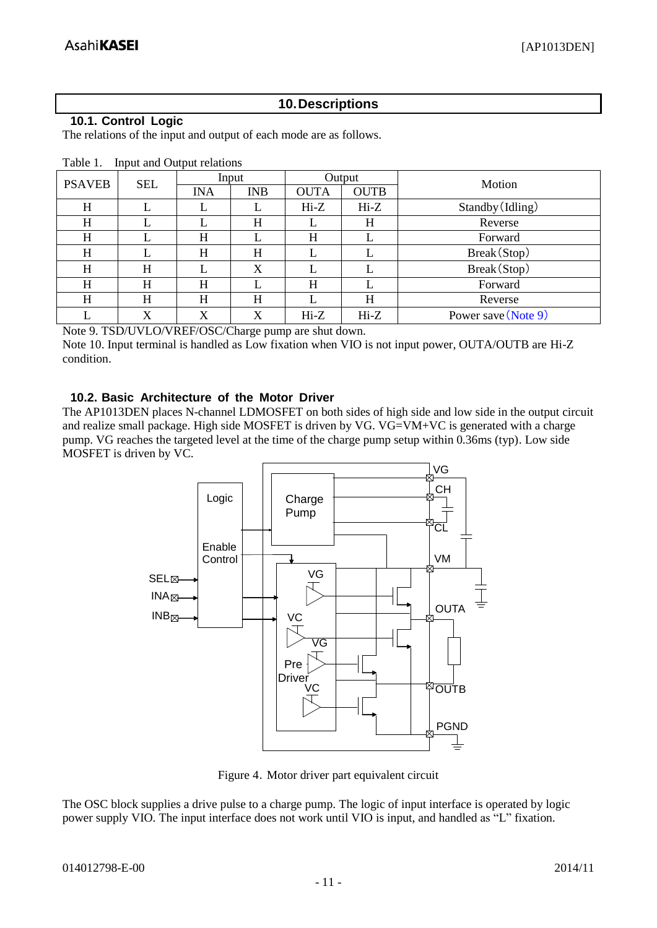# **10.Descriptions**

### <span id="page-10-1"></span><span id="page-10-0"></span>**10.1. Control Logic**

The relations of the input and output of each mode are as follows.

| <b>PSAVEB</b> | <b>SEL</b> | Output<br>Input |            |             | Motion      |                     |
|---------------|------------|-----------------|------------|-------------|-------------|---------------------|
|               |            | <b>INA</b>      | <b>INB</b> | <b>OUTA</b> | <b>OUTB</b> |                     |
| H             |            |                 |            | $Hi-Z$      | $Hi-Z$      | Standby (Idling)    |
| Н             |            |                 | H          |             | H           | Reverse             |
| H             |            | H               |            | H           |             | Forward             |
| H             |            | H               | H          |             |             | Break(Stop)         |
| H             | H          |                 | X          |             |             | Break (Stop)        |
| H             | H          | H               |            | H           |             | Forward             |
| H             | H          | H               | H          |             | H           | Reverse             |
|               | X          | X               | X          | $Hi-Z$      | $Hi-Z$      | Power save (Note 9) |

| Table 1. |  | Input and Output relations |
|----------|--|----------------------------|
|          |  |                            |

<span id="page-10-3"></span>Note 9. TSD/UVLO/VREF/OSC/Charge pump are shut down.

Note 10. Input terminal is handled as Low fixation when VIO is not input power, OUTA/OUTB are Hi-Z condition.

# <span id="page-10-2"></span>**10.2. Basic Architecture of the Motor Driver**

The AP1013DEN places N-channel LDMOSFET on both sides of high side and low side in the output circuit and realize small package. High side MOSFET is driven by VG. VG=VM+VC is generated with a charge pump. VG reaches the targeted level at the time of the charge pump setup within 0.36ms (typ). Low side MOSFET is driven by VC.



Figure 4. Motor driver part equivalent circuit

The OSC block supplies a drive pulse to a charge pump. The logic of input interface is operated by logic power supply VIO. The input interface does not work until VIO is input, and handled as "L" fixation.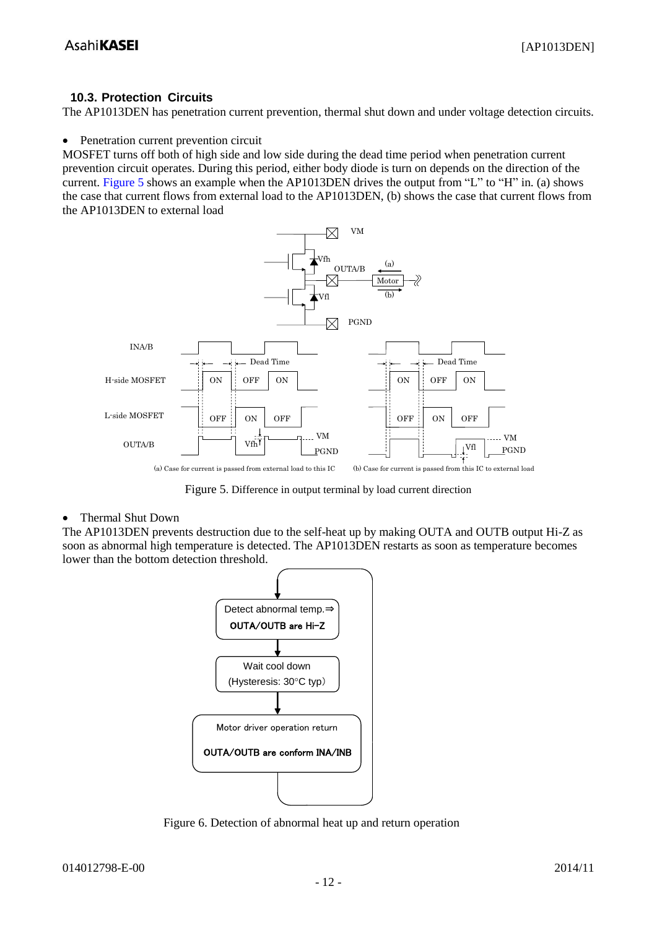#### <span id="page-11-0"></span>**10.3. Protection Circuits**

The AP1013DEN has penetration current prevention, thermal shut down and under voltage detection circuits.

#### • Penetration current prevention circuit

MOSFET turns off both of high side and low side during the dead time period when penetration current prevention circuit operates. During this period, either body diode is turn on depends on the direction of the current. [Figure 5](#page-11-1) shows an example when the AP1013DEN drives the output from "L" to "H" in. (a) shows the case that current flows from external load to the AP1013DEN, (b) shows the case that current flows from the AP1013DEN to external load



Figure 5. Difference in output terminal by load current direction

#### <span id="page-11-1"></span>• Thermal Shut Down

The AP1013DEN prevents destruction due to the self-heat up by making OUTA and OUTB output Hi-Z as soon as abnormal high temperature is detected. The AP1013DEN restarts as soon as temperature becomes lower than the bottom detection threshold.



Figure 6. Detection of abnormal heat up and return operation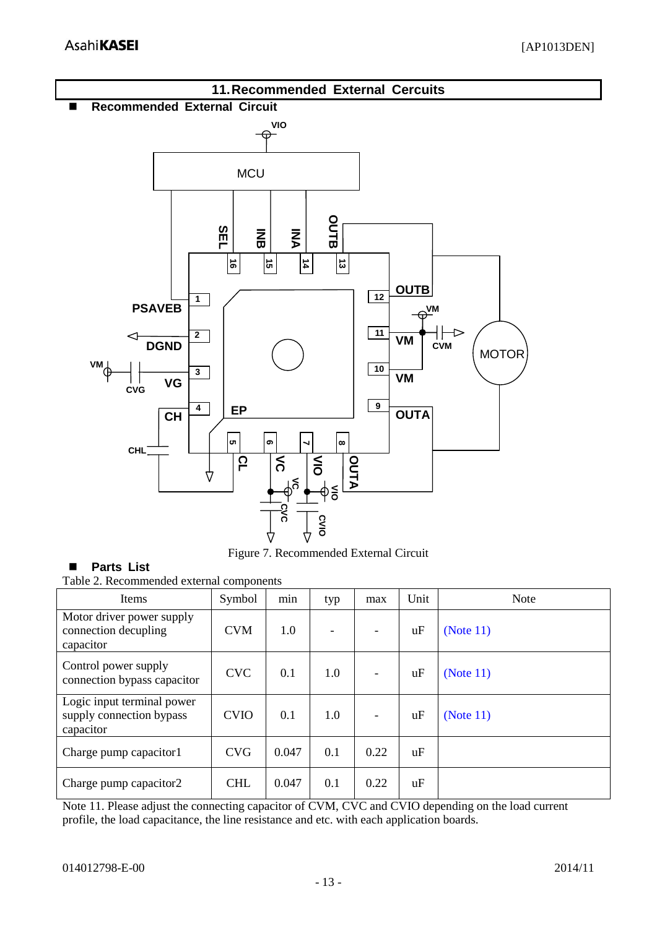<span id="page-12-1"></span><span id="page-12-0"></span>

Figure 7. Recommended External Circuit

# <span id="page-12-2"></span>**Parts List**

Table 2. Recommended external components

| <b>Items</b>                                                        | Symbol      | min   | typ | max  | Unit | <b>Note</b>  |
|---------------------------------------------------------------------|-------------|-------|-----|------|------|--------------|
| Motor driver power supply<br>connection decupling<br>capacitor      | <b>CVM</b>  | 1.0   |     |      | uF   | (Note $11$ ) |
| Control power supply<br>connection bypass capacitor                 | <b>CVC</b>  | 0.1   | 1.0 |      | uF   | (Note $11$ ) |
| Logic input terminal power<br>supply connection bypass<br>capacitor | <b>CVIO</b> | 0.1   | 1.0 |      | uF   | (Note 11)    |
| Charge pump capacitor1                                              | <b>CVG</b>  | 0.047 | 0.1 | 0.22 | uF   |              |
| Charge pump capacitor2                                              | <b>CHL</b>  | 0.047 | 0.1 | 0.22 | uF   |              |

<span id="page-12-3"></span>Note 11. Please adjust the connecting capacitor of CVM, CVC and CVIO depending on the load current profile, the load capacitance, the line resistance and etc. with each application boards.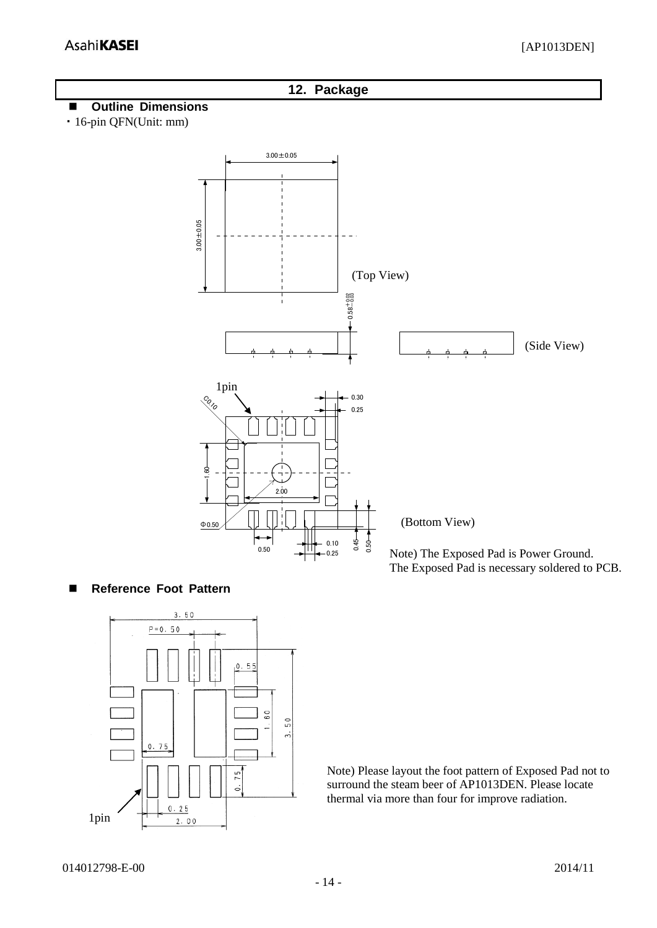#### <span id="page-13-0"></span>**12. Package**

#### <span id="page-13-1"></span>**Outline Dimensions**

・16-pin QFN(Unit: mm)



#### <span id="page-13-2"></span>**Reference Foot Pattern**



Note) Please layout the foot pattern of Exposed Pad not to surround the steam beer of AP1013DEN. Please locate thermal via more than four for improve radiation.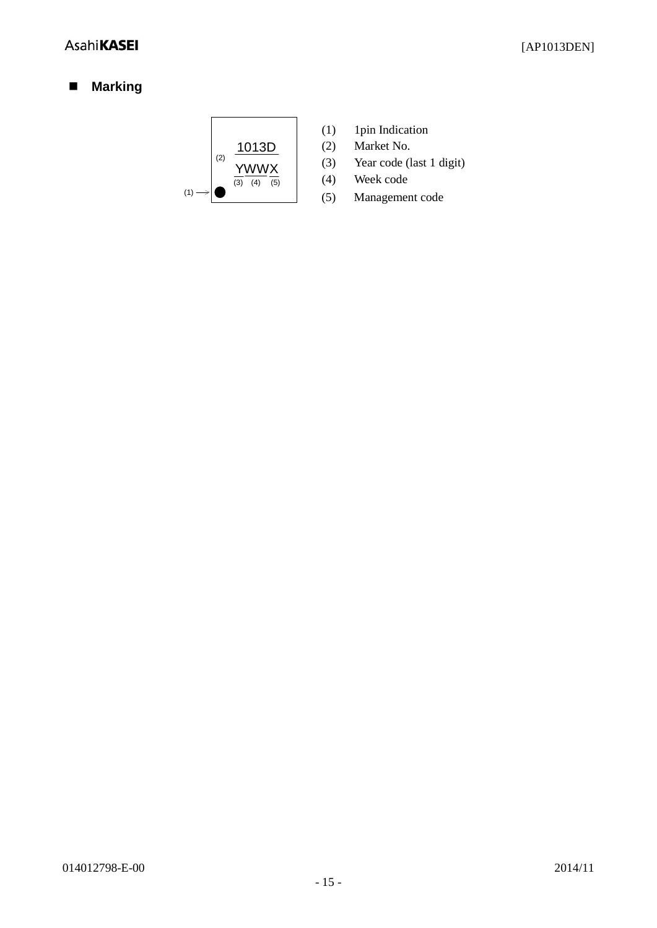# <span id="page-14-0"></span>**Marking**



- (1) 1pin Indication
- (2) Market No.
- (3) Year code (last 1 digit)
- (4) Week code
- (5) Management code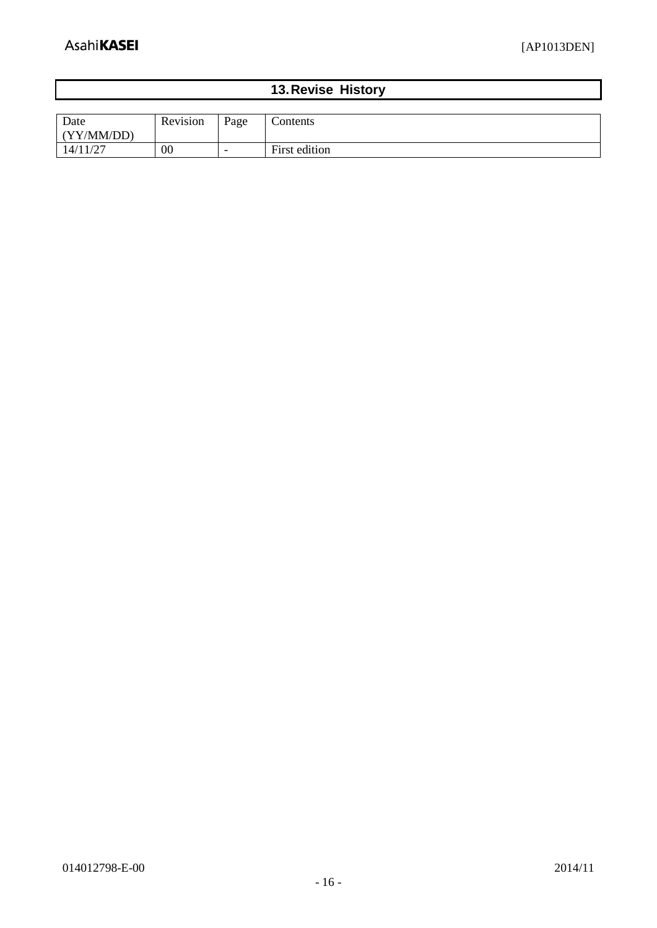# **13.Revise History**

<span id="page-15-0"></span>

| Date<br>(YY/MM/DD) | $\cdot$ $\cdot$<br>Revision | Page | Contents      |
|--------------------|-----------------------------|------|---------------|
| 14/11/27           | 00                          | -    | First edition |